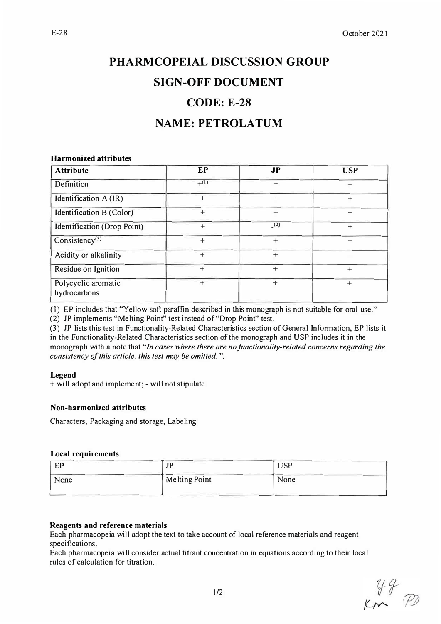# **PHARMCOPEIAL DISCUSSION GROUP SIGN-OFF DOCUMENT CODE: E-28**

## **NAME: PETROLATUM**

#### **Harmonized attributes**

| <b>Attribute</b>                    | <b>EP</b> | J <sub>P</sub> | <b>USP</b> |
|-------------------------------------|-----------|----------------|------------|
| Definition                          | $+(1)$    | $+$            | $^{+}$     |
| Identification A (IR)               | $^{+}$    | $^{+}$         | $\ddot{}$  |
| Identification B (Color)            | $^{+}$    | $^{+}$         | $^{+}$     |
| Identification (Drop Point)         | $^{+}$    | (2)            | $+$        |
| Consistency <sup>(3)</sup>          | $^{+}$    | $+$            | $\ddot{}$  |
| Acidity or alkalinity               | $^{+}$    | $^{+}$         | $^{+}$     |
| Residue on Ignition                 | $^{+}$    | $^{+}$         | $^{+}$     |
| Polycyclic aromatic<br>hydrocarbons | $\ddot{}$ | $^{+}$         | $^{+}$     |

(1) EP includes that "Yellow soft paraffin described in this monograph is not suitable for oral use."

(2) JP implements "Melting Point" test instead of "Drop Point" test.

(3) JP lists this test in Functionality-Related Characteristics section of General Information, EP lists it in the Functionality-Related Characteristics section of the monograph and USP includes it in the monograph with a note that *"In cases where there are no functionality-related concerns regarding the consistency of this article, this test may be omitted.* ".

## **Legend**

+ will adopt and implement; - will not stipulate

## **Non-harmonized attributes**

Characters, Packaging and storage, Labeling

## **Local requirements**

| EP<br>⊷ | 1D<br>ັ              | <b>USP</b> |
|---------|----------------------|------------|
| None    | <b>Melting Point</b> | None       |

## **Reagents and reference materials**

Each pharmacopeia will adopt the text to take account of local reference materials and reagent specifications.

Each pharmacopeia will consider actual titrant concentration in equations according to their local rules of calculation for titration.

 $49$ <br>Km  $72$ 

E-28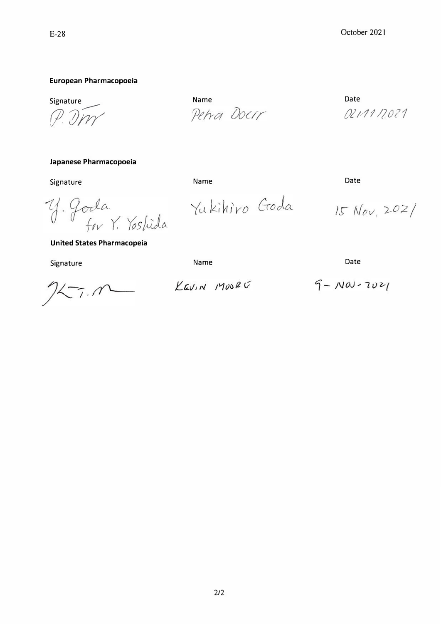## E-28

## **European Pharmacopoeia**

Signature � *J )1�*

Name Petra Docrr

Yukihiro Goda

Date *()21//112011* 

 $15 Nov, 202/$ 

## **Japanese Pharmacopoeia**

Signature

Name

Date

y. Goda<br>for Y. Yoshida

**United States Pharmacopeia** 

Signature

Name

Date

 $25.0$ 

KEVIN MOORE

 $9 - N00 - 2021$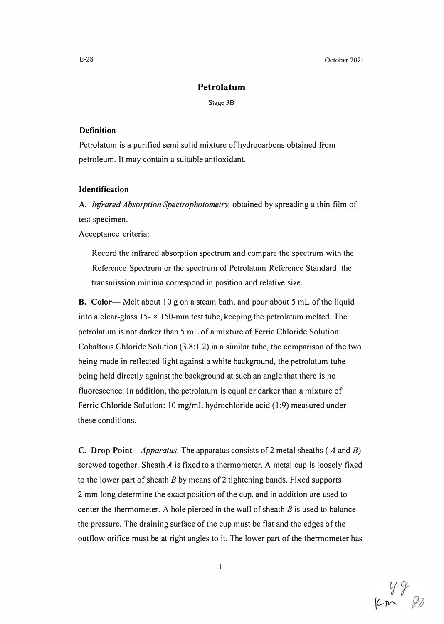October 2021

## **Petrolatum**

Stage 38

#### **Definition**

Petrolatum is a purified semi solid mixture of hydrocarbons obtained from petroleum. It may contain a suitable antioxidant.

## **Identification**

**A.** *Jnfrared Absorption Spectrophotometry,* obtained by spreading a thin film of test specimen.

Acceptance criteria:

Record the infrared absorption spectrum and compare the spectrum with the Reference Spectrum or the spectrum of Petrolatum Reference Standard: the transmission minima correspond in position and relative size.

**B.** Color-- Melt about 10 g on a steam bath, and pour about 5 mL of the liquid into a clear-glass  $15-x$  150-mm test tube, keeping the petrolatum melted. The petrolatum is not darker than 5 mL of a mixture of Ferric Chloride Solution: Cobaltous Chloride Solution  $(3.8: 1.2)$  in a similar tube, the comparison of the two being made in reflected light against a white background, the petrolatum tube being held directly against the background at such an angle that there is no fluorescence. ln addition, the petrolatum is equal or darker than a mixture of Ferric Chloride Solution: 10 mg/mL hydrochloride acid (1:9) measured under these conditions.

**C. Drop Point** *-Apparatus.* The apparatus consists of 2 metal sheaths ( *A* and *B)* screwed together. Sheath *A* is fixed to a thermometer. A metal cup is loosely fixed to the lower part of sheath *B* by means of 2 tightening bands. Fixed supports 2 mm long determine the exact position of the cup, and in addition are used to center the thermometer. A hole pierced in the wall of sheath *B* is used to balance the pressure. The draining surface of the cup must be flat and the edges of the outflow orifice must be at right angles to it. The lower part of the thermometer has

 $km$  22

E-28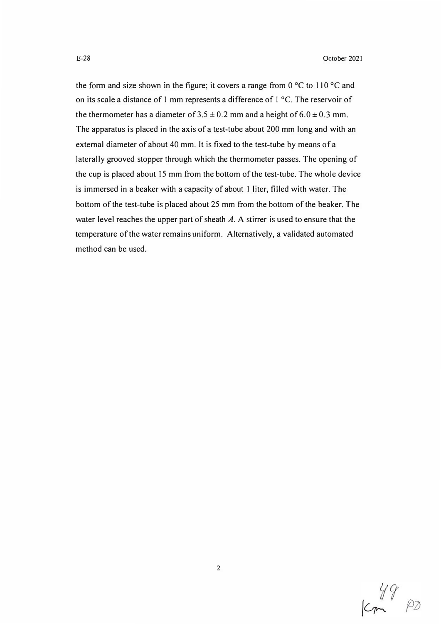the form and size shown in the figure; it covers a range from  $0^{\circ}$ C to  $110^{\circ}$ C and on its scale a distance of 1 mm represents a difference of I °C. The reservoir of the thermometer has a diameter of  $3.5 \pm 0.2$  mm and a height of  $6.0 \pm 0.3$  mm. The apparatus is placed in the axis of a test-tube about 200 mm long and with an external diameter of about 40 mm. It is fixed to the test-tube by means of a laterally grooved stopper through which the thermometer passes. The opening of the cup is placed about 15 mm from the bottom of the test-tube. The whole device is immersed in a beaker with a capacity of about 1 liter, filled with water. The bottom of the test-tube is placed about 25 mm from the bottom of the beaker. The water level reaches the upper part of sheath *A.* A stirrer is used to ensure that the temperature of the water remains uniform. Alternatively, a validated automated method can be used.

 $49^{90}$ 

2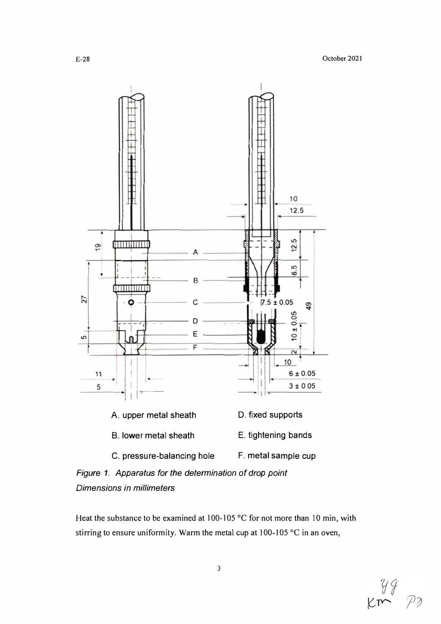

*Figure 1. Apparatus for the determination of drop point Dimensions in millimeters* 

Heat the substance to be examined at 100-105 °C for not more than 10 min, with stirring to ensure uniformity. Warm the metal cup at 100-105 °C in an oven,

$$
\begin{array}{c}\n\sqrt{4} \\
\text{km} \\
\text{m} \\
\hline\n\end{array}
$$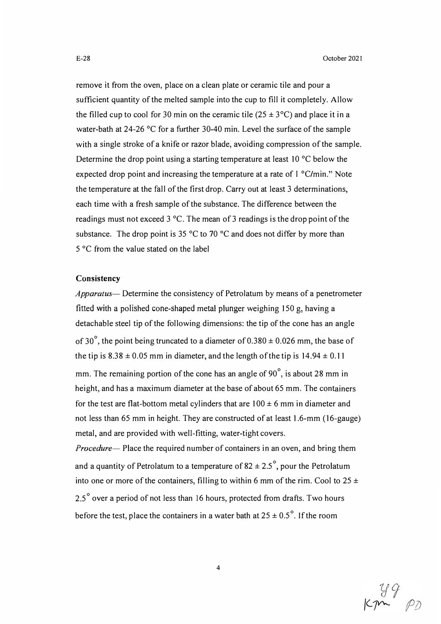remove it from the oven, place on a clean plate or ceramic tile and pour a sufficient quantity of the melted sample into the cup to fill it completely. Allow the filled cup to cool for 30 min on the ceramic tile  $(25 \pm 3^{\circ}C)$  and place it in a water-bath at 24-26 °C for a further 30-40 min. Level the surface of the sample with a single stroke of a knife or razor blade, avoiding compression of the sample. Determine the drop point using a starting temperature at least 10 °C below the expected drop point and increasing the temperature at a rate of l °C/min." Note the temperature at the fall of the first drop. Carry out at least 3 determinations, each time with a fresh sample of the substance. The difference between the readings must not exceed 3 °C. The mean of 3 readings is the drop point of the substance. The drop point is 35  $^{\circ}$ C to 70  $^{\circ}$ C and does not differ by more than 5 °C from the value stated on the label

#### **Consistency**

*Apparatus-* Determine the consistency of Petrolatum by means of a penetrometer fitted with a polished cone-shaped metal plunger weighing 150 g, having a detachable steel tip of the following dimensions: the tip of the cone has an angle of 30°, the point being truncated to a diameter of 0.380  $\pm$  0.026 mm, the base of the tip is  $8.38 \pm 0.05$  mm in diameter, and the length of the tip is  $14.94 \pm 0.11$ mm. The remaining portion of the cone has an angle of 90°, is about 28 mm in height, and has a maximum diameter at the base of about 65 mm. The containers for the test are flat-bottom metal cylinders that are  $100 \pm 6$  mm in diameter and not less than 65 mm in height. They are constructed of at least 1.6-mm (16-gauge) metal, and are provided with well-fitting, water-tight covers.

*Procedure-* Place the required number of containers in an oven, and bring them and a quantity of Petrolatum to a temperature of  $82 \pm 2.5^\circ$ , pour the Petrolatum into one or more of the containers, filling to within 6 mm of the rim. Cool to  $25 \pm$ 2.5° over a period of not less than 16 hours, protected from drafts. Two hours before the test, place the containers in a water bath at  $25 \pm 0.5^{\circ}$ . If the room

 $\mu_{\rm p}$   $\beta_{\rm p}$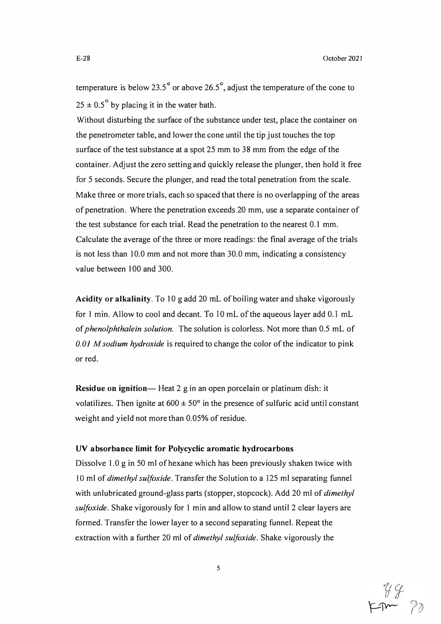temperature is below 23.5° or above 26.5° , adjust the temperature of the cone to  $25 \pm 0.5^{\circ}$  by placing it in the water bath.

Without disturbing the surface of the substance under test, place the container on the penetrometer table, and lower the cone until the tip just touches the top surface of the test substance at a spot 25 mm to 38 mm from the edge of the container. Adjust the zero setting and quickly release the plunger, then hold it free for 5 seconds. Secure the plunger, and read the total penetration from the scale. Make three or more trials, each so spaced that there is no overlapping of the areas of penetration. Where the penetration exceeds 20 mm, use a separate container of the test substance for each trial. Read the penetration to the nearest 0.1 mm. Calculate the average of the three or more readings: the final average of the trials is not less than 10.0 mm and not more than 30.0 mm, indicating a consistency value between 100 and 300.

**Acidity or alkalinity.** To 10 g add 20 rnL of boiling water and shake vigorously for I min. Allow to cool and decant. To 10 mL of the aqueous layer add 0.1 mL of *phenolphthalein solution.* The solution is colorless. Not more than 0.5 mL of *0.01 M sodium hydroxide* is required to change the color of the indicator to pink or red.

**Residue on ignition—** Heat 2 g in an open porcelain or platinum dish: it volatilizes. Then ignite at  $600 \pm 50^{\circ}$  in the presence of sulfuric acid until constant weight and yield not more than 0.05% of residue.

#### **UV absorbance limit for Polycyclic aromatic hydrocarbons**

Dissolve 1.0 g in 50 ml of hexane which has been previously shaken twice with I O ml of *dimethyl sulfoxide.* Transfer the Solution to a 125 ml separating funnel with unlubricated ground-glass parts (stopper, stopcock). Add 20 ml of *dimethyl sulfoxide.* Shake vigorously for I min and allow to stand until 2 clear layers are formed. Transfer the lower layer to a second separating funnel. Repeat the extraction with a further 20 ml of *dimethyl sulfoxide.* Shake vigorously the

 $749$ <br> $-77$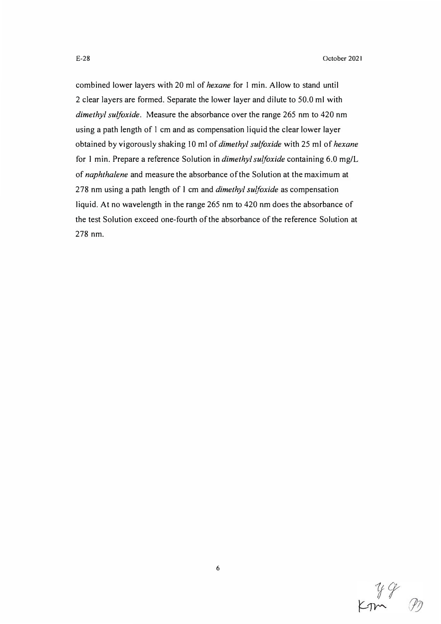combined lower layers with 20 ml of *hexane* for 1 min. Allow to stand until 2 clear layers are formed. Separate the lower layer and dilute to 50.0 ml with *dimethyl sulfoxide.* Measure the absorbance over the range 265 nm to 420 nm using a path length of 1 cm and as compensation liquid the clear lower layer obtained by vigorously shaking 10 ml of *dimethyl sulfoxide* with 25 ml of *hexane*  for 1 min. Prepare a reference Solution in *dimethyl sulfoxide* containing 6.0 mg/L of *naphthalene* and measure the absorbance of the Solution at the maximum at 278 nm using a path length of 1 cm and *dimethyl sulfoxide* as compensation liquid. At no wavelength in the range 265 nm to 420 nm does the absorbance of the test Solution exceed one-fourth of the absorbance of the reference Solution at 278 nm.

 $249$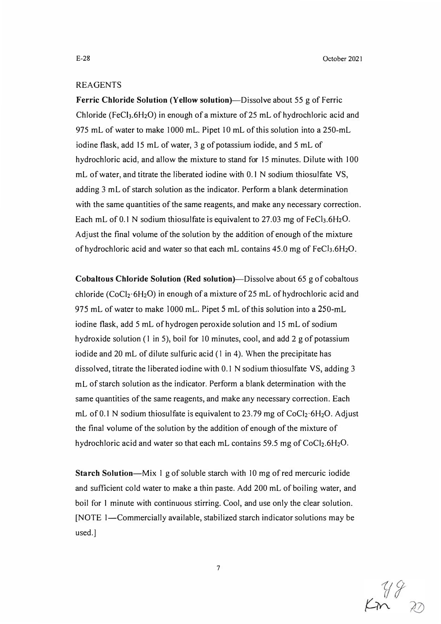E-28 October 2021

## REAGENTS

**Ferric Chloride Solution (Yellow solution}-Dissolve** about 55 g of Ferric Chloride (FeCl<sub>3</sub>.6H<sub>2</sub>O) in enough of a mixture of 25 mL of hydrochloric acid and 975 mL of water to make 1000 mL. Pipet 10 mL of this solution into a 250-mL iodine flask, add 15 mL of water, 3 g of potassium iodide, and 5 mL of hydrochloric acid, and allow the mixture to stand for 15 minutes. Dilute with I 00 mL of water, and titrate the liberated iodine with 0.1 N sodium thiosulfate VS, adding 3 mL of starch solution as the indicator. Perform a blank determination with the same quantities of the same reagents, and make any necessary correction. Each mL of 0.1 N sodium thiosulfate is equivalent to 27.03 mg of  $FeCl<sub>3.6</sub>H<sub>2</sub>O$ . Adjust the final volume of the solution by the addition of enough of the mixture of hydrochloric acid and water so that each mL contains  $45.0$  mg of FeCl<sub>3</sub>.6H<sub>2</sub>O.

**Cobaltous Chloride Solution (Red solution}-Dissolve** about 65 g of cobaltous chloride (CoCl<sub>2</sub>·6H<sub>2</sub>O) in enough of a mixture of 25 mL of hydrochloric acid and 975 mL of water to make 1000 mL. Pipet 5 mL of this solution into a 250-mL iodine flask, add 5 mL of hydrogen peroxide solution and 15 mL of sodium hydroxide solution (I in 5), boil for 10 minutes, cool, and add 2 g of potassium iodide and 20 mL of dilute sulfuric acid (I in 4). When the precipitate has dissolved, titrate the liberated iodine with 0.1 N sodium thiosulfate VS, adding 3 mL of starch solution as the indicator. Perform a blank determination with the same quantities of the same reagents, and make any necessary correction. Each mL of 0.1 N sodium thiosulfate is equivalent to 23.79 mg of  $CoCl<sub>2</sub>·6H<sub>2</sub>O$ . Adjust the final volume of the solution by the addition of enough of the mixture of hydrochloric acid and water so that each mL contains 59.5 mg of CoCl<sub>2</sub>.6H<sub>2</sub>O.

**Starch Solution-Mix** I g of soluble starch with 10 mg of red mercuric iodide and sufficient cold water to make a thin paste. Add 200 mL of boiling water, and boil for 1 minute with continuous stirring. Cool, and use only the clear solution. [NOTE 1—Commercially available, stabilized starch indicator solutions may be used.]

 $\begin{matrix} 48 \\ 22 \end{matrix}$ 

**7**